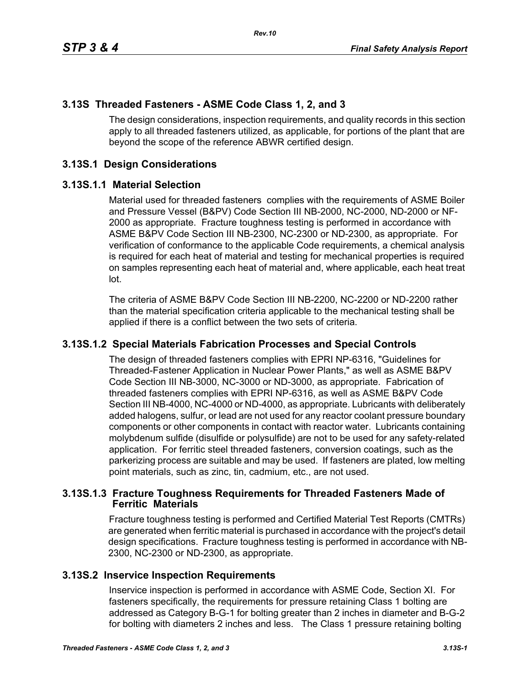## **3.13S Threaded Fasteners - ASME Code Class 1, 2, and 3**

The design considerations, inspection requirements, and quality records in this section apply to all threaded fasteners utilized, as applicable, for portions of the plant that are beyond the scope of the reference ABWR certified design.

# **3.13S.1 Design Considerations**

#### **3.13S.1.1 Material Selection**

Material used for threaded fasteners complies with the requirements of ASME Boiler and Pressure Vessel (B&PV) Code Section III NB-2000, NC-2000, ND-2000 or NF-2000 as appropriate. Fracture toughness testing is performed in accordance with ASME B&PV Code Section III NB-2300, NC-2300 or ND-2300, as appropriate. For verification of conformance to the applicable Code requirements, a chemical analysis is required for each heat of material and testing for mechanical properties is required on samples representing each heat of material and, where applicable, each heat treat lot.

The criteria of ASME B&PV Code Section III NB-2200, NC-2200 or ND-2200 rather than the material specification criteria applicable to the mechanical testing shall be applied if there is a conflict between the two sets of criteria.

### **3.13S.1.2 Special Materials Fabrication Processes and Special Controls**

The design of threaded fasteners complies with EPRI NP-6316, "Guidelines for Threaded-Fastener Application in Nuclear Power Plants," as well as ASME B&PV Code Section III NB-3000, NC-3000 or ND-3000, as appropriate. Fabrication of threaded fasteners complies with EPRI NP-6316, as well as ASME B&PV Code Section III NB-4000, NC-4000 or ND-4000, as appropriate. Lubricants with deliberately added halogens, sulfur, or lead are not used for any reactor coolant pressure boundary components or other components in contact with reactor water. Lubricants containing molybdenum sulfide (disulfide or polysulfide) are not to be used for any safety-related application. For ferritic steel threaded fasteners, conversion coatings, such as the parkerizing process are suitable and may be used. If fasteners are plated, low melting point materials, such as zinc, tin, cadmium, etc., are not used.

#### **3.13S.1.3 Fracture Toughness Requirements for Threaded Fasteners Made of Ferritic Materials**

Fracture toughness testing is performed and Certified Material Test Reports (CMTRs) are generated when ferritic material is purchased in accordance with the project's detail design specifications. Fracture toughness testing is performed in accordance with NB-2300, NC-2300 or ND-2300, as appropriate.

### **3.13S.2 Inservice Inspection Requirements**

Inservice inspection is performed in accordance with ASME Code, Section XI. For fasteners specifically, the requirements for pressure retaining Class 1 bolting are addressed as Category B-G-1 for bolting greater than 2 inches in diameter and B-G-2 for bolting with diameters 2 inches and less. The Class 1 pressure retaining bolting